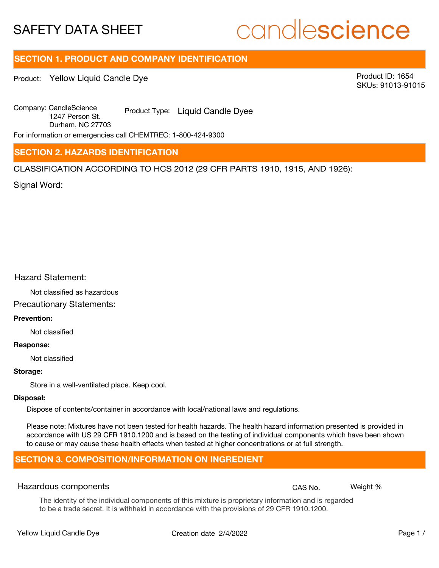# candlescience

# **SECTION 1. PRODUCT AND COMPANY IDENTIFICATION**

Product: Yellow Liquid Candle Dye

Product ID: 1654 SKUs: 91013-91015

Company: Candle Science<br>
1947 Product Type: Liquid Candle Dyee 1247 Person St. Durham, NC 27703

For information or emergencies call CHEMTREC: 1-800-424-9300

## **SECTION 2. HAZARDS IDENTIFICATION**

CLASSIFICATION ACCORDING TO HCS 2012 (29 CFR PARTS 1910, 1915, AND 1926):

Signal Word:

### Hazard Statement:

Not classified as hazardous

# Precautionary Statements:

### **Prevention:**

Not classified

#### **Response:**

Not classified

### **Storage:**

Store in a well-ventilated place. Keep cool.

### **Disposal:**

Dispose of contents/container in accordance with local/national laws and regulations.

Please note: Mixtures have not been tested for health hazards. The health hazard information presented is provided in accordance with US 29 CFR 1910.1200 and is based on the testing of individual components which have been shown to cause or may cause these health effects when tested at higher concentrations or at full strength.

# **SECTION 3. COMPOSITION/INFORMATION ON INGREDIENT**

### Hazardous components **CAS No. Weight %** and CAS No. Weight %

The identity of the individual components of this mixture is proprietary information and is regarded to be a trade secret. It is withheld in accordance with the provisions of 29 CFR 1910.1200.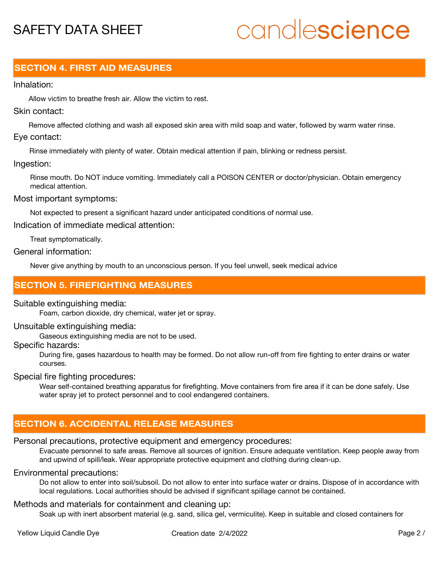# candlescience

# **SECTION 4. FIRST AID MEASURES**

### Inhalation:

Allow victim to breathe fresh air. Allow the victim to rest.

### Skin contact:

Remove affected clothing and wash all exposed skin area with mild soap and water, followed by warm water rinse. Eye contact:

Rinse immediately with plenty of water. Obtain medical attention if pain, blinking or redness persist.

### Ingestion:

Rinse mouth. Do NOT induce vomiting. Immediately call a POISON CENTER or doctor/physician. Obtain emergency medical attention.

### Most important symptoms:

Not expected to present a significant hazard under anticipated conditions of normal use.

Indication of immediate medical attention:

Treat symptomatically.

### General information:

Never give anything by mouth to an unconscious person. If you feel unwell, seek medical advice

# **SECTION 5. FIREFIGHTING MEASURES**

### Suitable extinguishing media:

Foam, carbon dioxide, dry chemical, water jet or spray.

### Unsuitable extinguishing media:

Gaseous extinguishing media are not to be used.

### Specific hazards:

During fire, gases hazardous to health may be formed. Do not allow run-off from fire fighting to enter drains or water courses.

### Special fire fighting procedures:

Wear self-contained breathing apparatus for firefighting. Move containers from fire area if it can be done safely. Use water spray jet to protect personnel and to cool endangered containers.

# **SECTION 6. ACCIDENTAL RELEASE MEASURES**

### Personal precautions, protective equipment and emergency procedures:

Evacuate personnel to safe areas. Remove all sources of ignition. Ensure adequate ventilation. Keep people away from and upwind of spill/leak. Wear appropriate protective equipment and clothing during clean-up.

### Environmental precautions:

Do not allow to enter into soil/subsoil. Do not allow to enter into surface water or drains. Dispose of in accordance with local regulations. Local authorities should be advised if significant spillage cannot be contained.

### Methods and materials for containment and cleaning up:

Soak up with inert absorbent material (e.g. sand, silica gel, vermiculite). Keep in suitable and closed containers for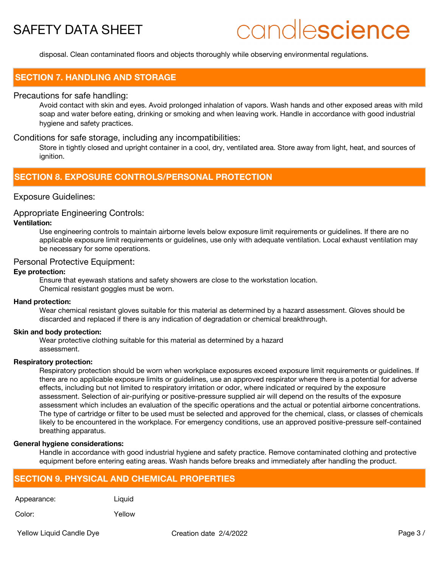# candlescience

disposal. Clean contaminated floors and objects thoroughly while observing environmental regulations.

### **SECTION 7. HANDLING AND STORAGE**

### Precautions for safe handling:

Avoid contact with skin and eyes. Avoid prolonged inhalation of vapors. Wash hands and other exposed areas with mild soap and water before eating, drinking or smoking and when leaving work. Handle in accordance with good industrial hygiene and safety practices.

### Conditions for safe storage, including any incompatibilities:

Store in tightly closed and upright container in a cool, dry, ventilated area. Store away from light, heat, and sources of ignition.

## **SECTION 8. EXPOSURE CONTROLS/PERSONAL PROTECTION**

### Exposure Guidelines:

### Appropriate Engineering Controls:

### **Ventilation:**

Use engineering controls to maintain airborne levels below exposure limit requirements or guidelines. If there are no applicable exposure limit requirements or guidelines, use only with adequate ventilation. Local exhaust ventilation may be necessary for some operations.

### Personal Protective Equipment:

### **Eye protection:**

Ensure that eyewash stations and safety showers are close to the workstation location. Chemical resistant goggles must be worn.

#### **Hand protection:**

Wear chemical resistant gloves suitable for this material as determined by a hazard assessment. Gloves should be discarded and replaced if there is any indication of degradation or chemical breakthrough.

#### **Skin and body protection:**

Wear protective clothing suitable for this material as determined by a hazard assessment.

### **Respiratory protection:**

Respiratory protection should be worn when workplace exposures exceed exposure limit requirements or guidelines. If there are no applicable exposure limits or guidelines, use an approved respirator where there is a potential for adverse effects, including but not limited to respiratory irritation or odor, where indicated or required by the exposure assessment. Selection of air-purifying or positive-pressure supplied air will depend on the results of the exposure assessment which includes an evaluation of the specific operations and the actual or potential airborne concentrations. The type of cartridge or filter to be used must be selected and approved for the chemical, class, or classes of chemicals likely to be encountered in the workplace. For emergency conditions, use an approved positive-pressure self-contained breathing apparatus.

#### **General hygiene considerations:**

Handle in accordance with good industrial hygiene and safety practice. Remove contaminated clothing and protective equipment before entering eating areas. Wash hands before breaks and immediately after handling the product.

## **SECTION 9. PHYSICAL AND CHEMICAL PROPERTIES**

Appearance: Liquid

Color: Yellow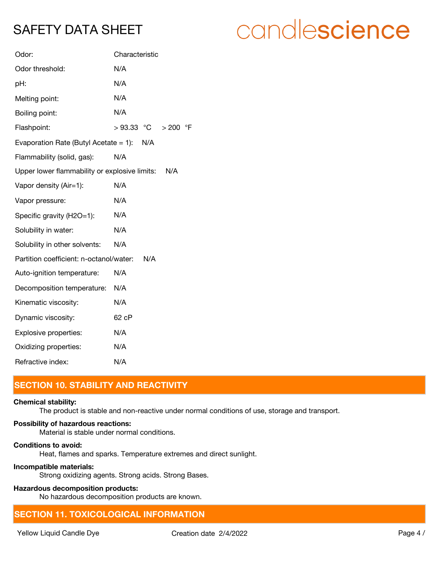| Odor:                                         | Characteristic                    |
|-----------------------------------------------|-----------------------------------|
| Odor threshold:                               | N/A                               |
| pH:                                           | N/A                               |
| Melting point:                                | N/A                               |
| Boiling point:                                | N/A                               |
| Flashpoint:                                   | $>93.33$ °C<br>$\circ$ F<br>> 200 |
| Evaporation Rate (Butyl Acetate $= 1$ ):      | N/A                               |
| Flammability (solid, gas):                    | N/A                               |
| Upper lower flammability or explosive limits: | N/A                               |
| Vapor density (Air=1):                        | N/A                               |
| Vapor pressure:                               | N/A                               |
| Specific gravity (H2O=1):                     | N/A                               |
| Solubility in water:                          | N/A                               |
| Solubility in other solvents:                 | N/A                               |
| Partition coefficient: n-octanol/water:       | N/A                               |
| Auto-ignition temperature:                    | N/A                               |
| Decomposition temperature:                    | N/A                               |
| Kinematic viscosity:                          | N/A                               |
| Dynamic viscosity:                            | 62 cP                             |
| Explosive properties:                         | N/A                               |
| Oxidizing properties:                         | N/A                               |
| Refractive index:                             | N/A                               |

# **SECTION 10. STABILITY AND REACTIVITY**

## **Chemical stability:**

The product is stable and non-reactive under normal conditions of use, storage and transport.

## **Possibility of hazardous reactions:**

Material is stable under normal conditions.

### **Conditions to avoid:**

Heat, flames and sparks. Temperature extremes and direct sunlight.

### **Incompatible materials:**

Strong oxidizing agents. Strong acids. Strong Bases.

### **Hazardous decomposition products:**

No hazardous decomposition products are known.

# **SECTION 11. TOXICOLOGICAL INFORMATION**

# candlescience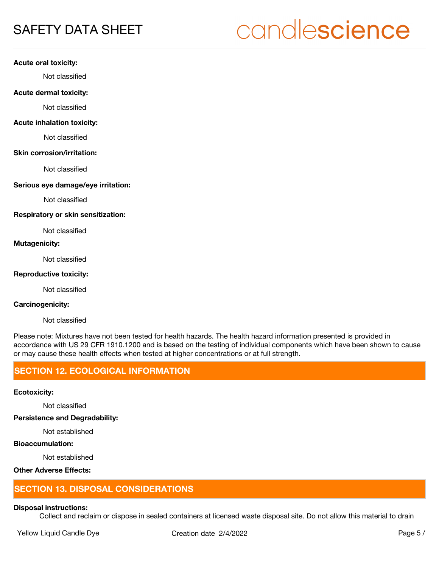# candlescience

### **Acute oral toxicity:**

Not classified

### **Acute dermal toxicity:**

Not classified

### **Acute inhalation toxicity:**

Not classified

### **Skin corrosion/irritation:**

Not classified

### **Serious eye damage/eye irritation:**

Not classified

### **Respiratory or skin sensitization:**

Not classified

### **Mutagenicity:**

Not classified

### **Reproductive toxicity:**

Not classified

### **Carcinogenicity:**

Not classified

Please note: Mixtures have not been tested for health hazards. The health hazard information presented is provided in accordance with US 29 CFR 1910.1200 and is based on the testing of individual components which have been shown to cause or may cause these health effects when tested at higher concentrations or at full strength.

# **SECTION 12. ECOLOGICAL INFORMATION**

### **Ecotoxicity:**

Not classified

**Persistence and Degradability:**

Not established

### **Bioaccumulation:**

Not established

## **Other Adverse Effects:**

## **SECTION 13. DISPOSAL CONSIDERATIONS**

#### **Disposal instructions:**

Collect and reclaim or dispose in sealed containers at licensed waste disposal site. Do not allow this material to drain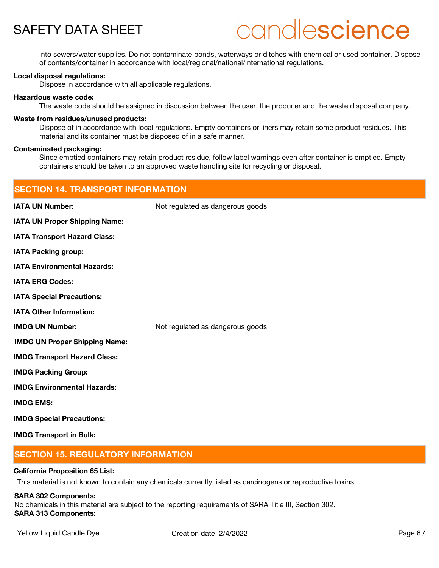# candlescience

into sewers/water supplies. Do not contaminate ponds, waterways or ditches with chemical or used container. Dispose of contents/container in accordance with local/regional/national/international regulations.

### **Local disposal regulations:**

Dispose in accordance with all applicable regulations.

### **Hazardous waste code:**

The waste code should be assigned in discussion between the user, the producer and the waste disposal company.

### **Waste from residues/unused products:**

Dispose of in accordance with local regulations. Empty containers or liners may retain some product residues. This material and its container must be disposed of in a safe manner.

### **Contaminated packaging:**

Since emptied containers may retain product residue, follow label warnings even after container is emptied. Empty containers should be taken to an approved waste handling site for recycling or disposal.

| <b>SECTION 14. TRANSPORT INFORMATION</b> |                                  |
|------------------------------------------|----------------------------------|
| <b>IATA UN Number:</b>                   | Not regulated as dangerous goods |
| <b>IATA UN Proper Shipping Name:</b>     |                                  |
| <b>IATA Transport Hazard Class:</b>      |                                  |
| <b>IATA Packing group:</b>               |                                  |
| <b>IATA Environmental Hazards:</b>       |                                  |
| <b>IATA ERG Codes:</b>                   |                                  |
| <b>IATA Special Precautions:</b>         |                                  |
| <b>IATA Other Information:</b>           |                                  |
| <b>IMDG UN Number:</b>                   | Not regulated as dangerous goods |
| <b>IMDG UN Proper Shipping Name:</b>     |                                  |
| <b>IMDG Transport Hazard Class:</b>      |                                  |
| <b>IMDG Packing Group:</b>               |                                  |
| <b>IMDG Environmental Hazards:</b>       |                                  |
| <b>IMDG EMS:</b>                         |                                  |
| <b>IMDG Special Precautions:</b>         |                                  |
| <b>IMDG Transport in Bulk:</b>           |                                  |

# **SECTION 15. REGULATORY INFORMATION**

### **California Proposition 65 List:**

This material is not known to contain any chemicals currently listed as carcinogens or reproductive toxins.

### **SARA 302 Components:**

No chemicals in this material are subject to the reporting requirements of SARA Title III, Section 302. **SARA 313 Components:**